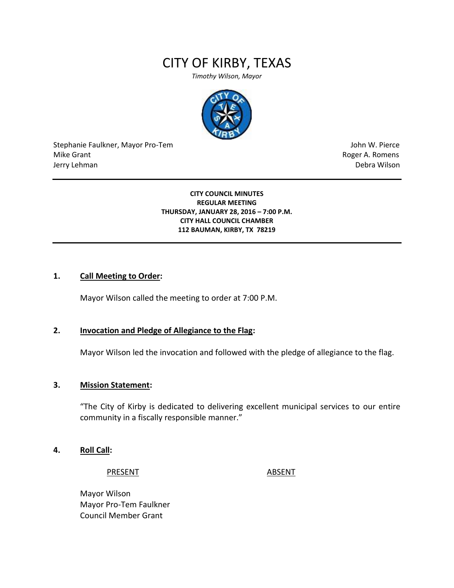# CITY OF KIRBY, TEXAS

*Timothy Wilson, Mayor*



Stephanie Faulkner, Mayor Pro-Tem John W. Pierce Mike Grant **Mike Grant** Roger A. Romens **Contract A. Romens Roger A. Romens** Jerry Lehman Debra Wilson

#### **CITY COUNCIL MINUTES REGULAR MEETING THURSDAY, JANUARY 28, 2016 – 7:00 P.M. CITY HALL COUNCIL CHAMBER 112 BAUMAN, KIRBY, TX 78219**

#### **1. Call Meeting to Order:**

Mayor Wilson called the meeting to order at 7:00 P.M.

#### **2. Invocation and Pledge of Allegiance to the Flag:**

Mayor Wilson led the invocation and followed with the pledge of allegiance to the flag.

#### **3. Mission Statement:**

"The City of Kirby is dedicated to delivering excellent municipal services to our entire community in a fiscally responsible manner."

#### **4. Roll Call:**

PRESENT ABSENT

Mayor Wilson Mayor Pro-Tem Faulkner Council Member Grant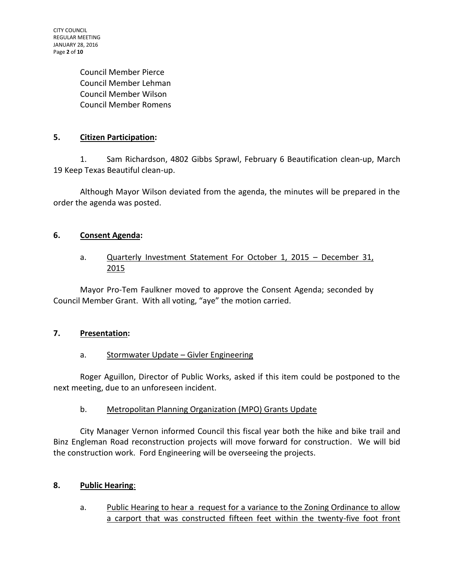CITY COUNCIL REGULAR MEETING JANUARY 28, 2016 Page **2** of **10**

> Council Member Pierce Council Member Lehman Council Member Wilson Council Member Romens

### **5. Citizen Participation:**

1. Sam Richardson, 4802 Gibbs Sprawl, February 6 Beautification clean-up, March 19 Keep Texas Beautiful clean-up.

Although Mayor Wilson deviated from the agenda, the minutes will be prepared in the order the agenda was posted.

### **6. Consent Agenda:**

### a. Quarterly Investment Statement For October 1, 2015 - December 31, 2015

Mayor Pro-Tem Faulkner moved to approve the Consent Agenda; seconded by Council Member Grant. With all voting, "aye" the motion carried.

#### **7. Presentation:**

#### a. Stormwater Update - Givler Engineering

Roger Aguillon, Director of Public Works, asked if this item could be postponed to the next meeting, due to an unforeseen incident.

## b. Metropolitan Planning Organization (MPO) Grants Update

City Manager Vernon informed Council this fiscal year both the hike and bike trail and Binz Engleman Road reconstruction projects will move forward for construction. We will bid the construction work. Ford Engineering will be overseeing the projects.

#### **8. Public Hearing**:

a. Public Hearing to hear a request for a variance to the Zoning Ordinance to allow a carport that was constructed fifteen feet within the twenty-five foot front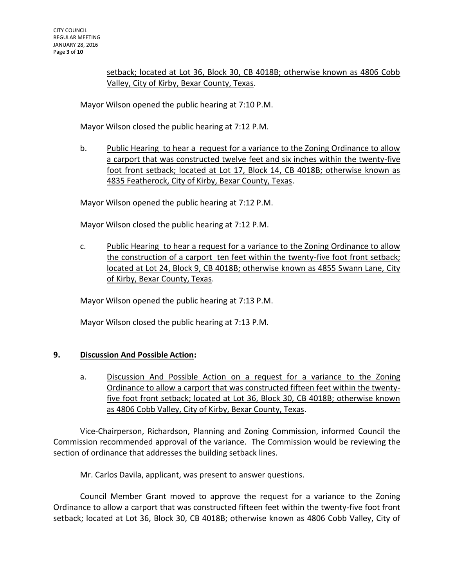setback; located at Lot 36, Block 30, CB 4018B; otherwise known as 4806 Cobb Valley, City of Kirby, Bexar County, Texas.

Mayor Wilson opened the public hearing at 7:10 P.M.

Mayor Wilson closed the public hearing at 7:12 P.M.

b. Public Hearing to hear a request for a variance to the Zoning Ordinance to allow a carport that was constructed twelve feet and six inches within the twenty-five foot front setback; located at Lot 17, Block 14, CB 4018B; otherwise known as 4835 Featherock, City of Kirby, Bexar County, Texas.

Mayor Wilson opened the public hearing at 7:12 P.M.

Mayor Wilson closed the public hearing at 7:12 P.M.

c. Public Hearing to hear a request for a variance to the Zoning Ordinance to allow the construction of a carport ten feet within the twenty-five foot front setback; located at Lot 24, Block 9, CB 4018B; otherwise known as 4855 Swann Lane, City of Kirby, Bexar County, Texas.

Mayor Wilson opened the public hearing at 7:13 P.M.

Mayor Wilson closed the public hearing at 7:13 P.M.

#### **9. Discussion And Possible Action:**

a. Discussion And Possible Action on a request for a variance to the Zoning Ordinance to allow a carport that was constructed fifteen feet within the twentyfive foot front setback; located at Lot 36, Block 30, CB 4018B; otherwise known as 4806 Cobb Valley, City of Kirby, Bexar County, Texas.

Vice-Chairperson, Richardson, Planning and Zoning Commission, informed Council the Commission recommended approval of the variance. The Commission would be reviewing the section of ordinance that addresses the building setback lines.

Mr. Carlos Davila, applicant, was present to answer questions.

Council Member Grant moved to approve the request for a variance to the Zoning Ordinance to allow a carport that was constructed fifteen feet within the twenty-five foot front setback; located at Lot 36, Block 30, CB 4018B; otherwise known as 4806 Cobb Valley, City of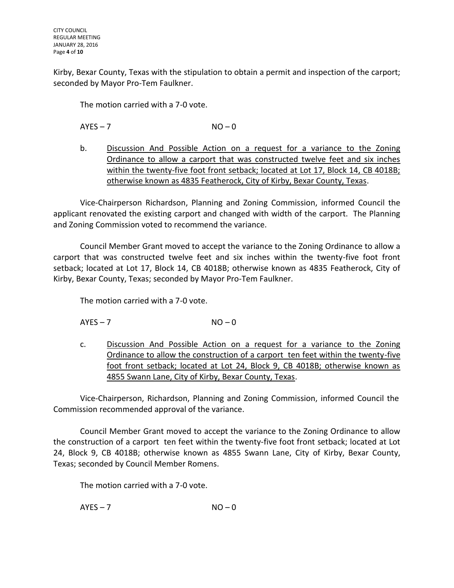Kirby, Bexar County, Texas with the stipulation to obtain a permit and inspection of the carport; seconded by Mayor Pro-Tem Faulkner.

The motion carried with a 7-0 vote.

 $AYES - 7$   $NO - 0$ 

b. Discussion And Possible Action on a request for a variance to the Zoning Ordinance to allow a carport that was constructed twelve feet and six inches within the twenty-five foot front setback; located at Lot 17, Block 14, CB 4018B; otherwise known as 4835 Featherock, City of Kirby, Bexar County, Texas.

Vice-Chairperson Richardson, Planning and Zoning Commission, informed Council the applicant renovated the existing carport and changed with width of the carport. The Planning and Zoning Commission voted to recommend the variance.

Council Member Grant moved to accept the variance to the Zoning Ordinance to allow a carport that was constructed twelve feet and six inches within the twenty-five foot front setback; located at Lot 17, Block 14, CB 4018B; otherwise known as 4835 Featherock, City of Kirby, Bexar County, Texas; seconded by Mayor Pro-Tem Faulkner.

The motion carried with a 7-0 vote.

 $AYES - 7$   $NO - 0$ 

c. Discussion And Possible Action on a request for a variance to the Zoning Ordinance to allow the construction of a carport ten feet within the twenty-five foot front setback; located at Lot 24, Block 9, CB 4018B; otherwise known as 4855 Swann Lane, City of Kirby, Bexar County, Texas.

Vice-Chairperson, Richardson, Planning and Zoning Commission, informed Council the Commission recommended approval of the variance.

Council Member Grant moved to accept the variance to the Zoning Ordinance to allow the construction of a carport ten feet within the twenty-five foot front setback; located at Lot 24, Block 9, CB 4018B; otherwise known as 4855 Swann Lane, City of Kirby, Bexar County, Texas; seconded by Council Member Romens.

The motion carried with a 7-0 vote.

 $AYES - 7$   $NO - 0$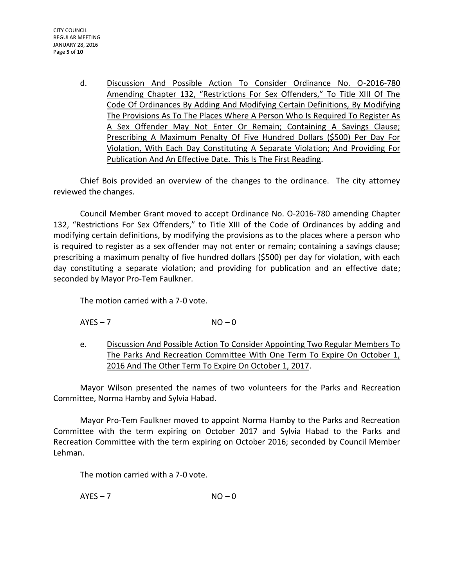d. Discussion And Possible Action To Consider Ordinance No. O-2016-780 Amending Chapter 132, "Restrictions For Sex Offenders," To Title XIII Of The Code Of Ordinances By Adding And Modifying Certain Definitions, By Modifying The Provisions As To The Places Where A Person Who Is Required To Register As A Sex Offender May Not Enter Or Remain; Containing A Savings Clause; Prescribing A Maximum Penalty Of Five Hundred Dollars (\$500) Per Day For Violation, With Each Day Constituting A Separate Violation; And Providing For Publication And An Effective Date. This Is The First Reading.

Chief Bois provided an overview of the changes to the ordinance. The city attorney reviewed the changes.

Council Member Grant moved to accept Ordinance No. O-2016-780 amending Chapter 132, "Restrictions For Sex Offenders," to Title XIII of the Code of Ordinances by adding and modifying certain definitions, by modifying the provisions as to the places where a person who is required to register as a sex offender may not enter or remain; containing a savings clause; prescribing a maximum penalty of five hundred dollars (\$500) per day for violation, with each day constituting a separate violation; and providing for publication and an effective date; seconded by Mayor Pro-Tem Faulkner.

The motion carried with a 7-0 vote.

- $AYES 7$   $NO 0$
- e. Discussion And Possible Action To Consider Appointing Two Regular Members To The Parks And Recreation Committee With One Term To Expire On October 1, 2016 And The Other Term To Expire On October 1, 2017.

Mayor Wilson presented the names of two volunteers for the Parks and Recreation Committee, Norma Hamby and Sylvia Habad.

Mayor Pro-Tem Faulkner moved to appoint Norma Hamby to the Parks and Recreation Committee with the term expiring on October 2017 and Sylvia Habad to the Parks and Recreation Committee with the term expiring on October 2016; seconded by Council Member Lehman.

The motion carried with a 7-0 vote.

 $AYES - 7$   $NO - 0$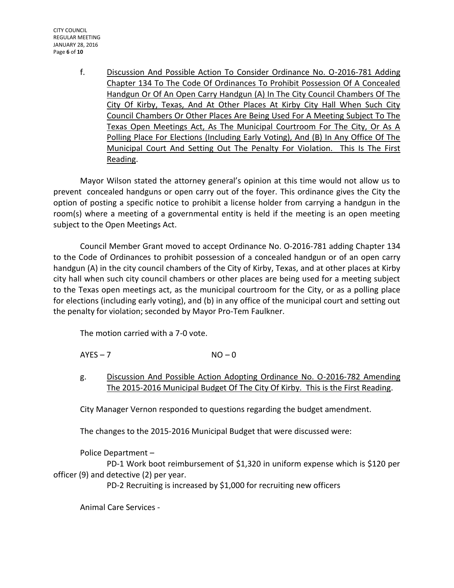CITY COUNCIL REGULAR MEETING JANUARY 28, 2016 Page **6** of **10**

> f. Discussion And Possible Action To Consider Ordinance No. O-2016-781 Adding Chapter 134 To The Code Of Ordinances To Prohibit Possession Of A Concealed Handgun Or Of An Open Carry Handgun (A) In The City Council Chambers Of The City Of Kirby, Texas, And At Other Places At Kirby City Hall When Such City Council Chambers Or Other Places Are Being Used For A Meeting Subject To The Texas Open Meetings Act, As The Municipal Courtroom For The City, Or As A Polling Place For Elections (Including Early Voting), And (B) In Any Office Of The Municipal Court And Setting Out The Penalty For Violation. This Is The First Reading.

Mayor Wilson stated the attorney general's opinion at this time would not allow us to prevent concealed handguns or open carry out of the foyer. This ordinance gives the City the option of posting a specific notice to prohibit a license holder from carrying a handgun in the room(s) where a meeting of a governmental entity is held if the meeting is an open meeting subject to the Open Meetings Act.

Council Member Grant moved to accept Ordinance No. O-2016-781 adding Chapter 134 to the Code of Ordinances to prohibit possession of a concealed handgun or of an open carry handgun (A) in the city council chambers of the City of Kirby, Texas, and at other places at Kirby city hall when such city council chambers or other places are being used for a meeting subject to the Texas open meetings act, as the municipal courtroom for the City, or as a polling place for elections (including early voting), and (b) in any office of the municipal court and setting out the penalty for violation; seconded by Mayor Pro-Tem Faulkner.

The motion carried with a 7-0 vote.

 $AYES - 7$   $NO - 0$ 

g. Discussion And Possible Action Adopting Ordinance No. O-2016-782 Amending The 2015-2016 Municipal Budget Of The City Of Kirby. This is the First Reading.

City Manager Vernon responded to questions regarding the budget amendment.

The changes to the 2015-2016 Municipal Budget that were discussed were:

Police Department –

PD-1 Work boot reimbursement of \$1,320 in uniform expense which is \$120 per officer (9) and detective (2) per year.

PD-2 Recruiting is increased by \$1,000 for recruiting new officers

Animal Care Services -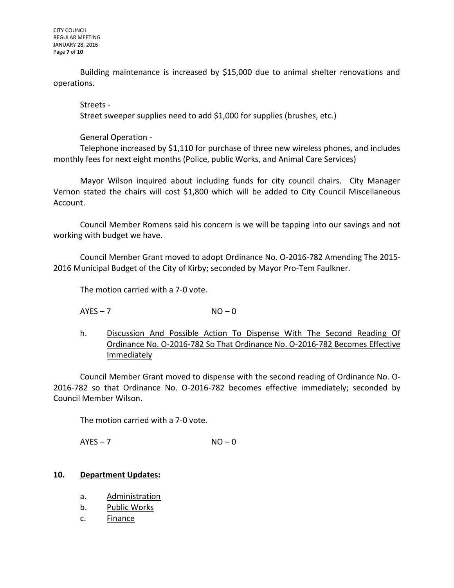Building maintenance is increased by \$15,000 due to animal shelter renovations and operations.

Streets - Street sweeper supplies need to add \$1,000 for supplies (brushes, etc.)

General Operation -

Telephone increased by \$1,110 for purchase of three new wireless phones, and includes monthly fees for next eight months (Police, public Works, and Animal Care Services)

Mayor Wilson inquired about including funds for city council chairs. City Manager Vernon stated the chairs will cost \$1,800 which will be added to City Council Miscellaneous Account.

Council Member Romens said his concern is we will be tapping into our savings and not working with budget we have.

Council Member Grant moved to adopt Ordinance No. O-2016-782 Amending The 2015- 2016 Municipal Budget of the City of Kirby; seconded by Mayor Pro-Tem Faulkner.

The motion carried with a 7-0 vote.

 $AYES - 7$   $NO - 0$ 

h. Discussion And Possible Action To Dispense With The Second Reading Of Ordinance No. O-2016-782 So That Ordinance No. O-2016-782 Becomes Effective **Immediately** 

Council Member Grant moved to dispense with the second reading of Ordinance No. O-2016-782 so that Ordinance No. O-2016-782 becomes effective immediately; seconded by Council Member Wilson.

The motion carried with a 7-0 vote.

 $AYES - 7$   $NO - 0$ 

#### **10. Department Updates:**

- a. Administration
- b. Public Works
- c. Finance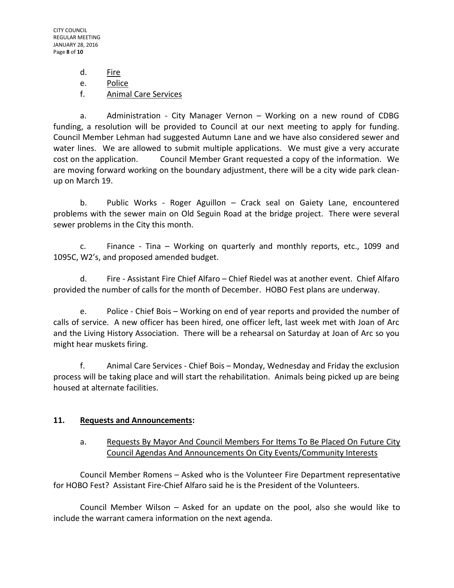CITY COUNCIL REGULAR MEETING JANUARY 28, 2016 Page **8** of **10**

d. Fire

e. Police

f. Animal Care Services

a. Administration - City Manager Vernon – Working on a new round of CDBG funding, a resolution will be provided to Council at our next meeting to apply for funding. Council Member Lehman had suggested Autumn Lane and we have also considered sewer and water lines. We are allowed to submit multiple applications. We must give a very accurate cost on the application. Council Member Grant requested a copy of the information. We are moving forward working on the boundary adjustment, there will be a city wide park cleanup on March 19.

b. Public Works - Roger Aguillon – Crack seal on Gaiety Lane, encountered problems with the sewer main on Old Seguin Road at the bridge project. There were several sewer problems in the City this month.

c. Finance - Tina – Working on quarterly and monthly reports, etc., 1099 and 1095C, W2's, and proposed amended budget.

d. Fire - Assistant Fire Chief Alfaro – Chief Riedel was at another event. Chief Alfaro provided the number of calls for the month of December. HOBO Fest plans are underway.

e. Police - Chief Bois – Working on end of year reports and provided the number of calls of service. A new officer has been hired, one officer left, last week met with Joan of Arc and the Living History Association. There will be a rehearsal on Saturday at Joan of Arc so you might hear muskets firing.

f. Animal Care Services - Chief Bois – Monday, Wednesday and Friday the exclusion process will be taking place and will start the rehabilitation. Animals being picked up are being housed at alternate facilities.

## **11. Requests and Announcements:**

### a. Requests By Mayor And Council Members For Items To Be Placed On Future City Council Agendas And Announcements On City Events/Community Interests

Council Member Romens – Asked who is the Volunteer Fire Department representative for HOBO Fest? Assistant Fire-Chief Alfaro said he is the President of the Volunteers.

Council Member Wilson – Asked for an update on the pool, also she would like to include the warrant camera information on the next agenda.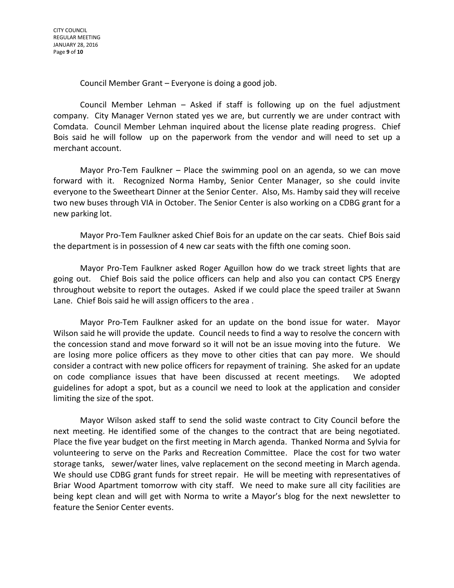Council Member Grant – Everyone is doing a good job.

Council Member Lehman – Asked if staff is following up on the fuel adjustment company. City Manager Vernon stated yes we are, but currently we are under contract with Comdata. Council Member Lehman inquired about the license plate reading progress. Chief Bois said he will follow up on the paperwork from the vendor and will need to set up a merchant account.

Mayor Pro-Tem Faulkner – Place the swimming pool on an agenda, so we can move forward with it. Recognized Norma Hamby, Senior Center Manager, so she could invite everyone to the Sweetheart Dinner at the Senior Center. Also, Ms. Hamby said they will receive two new buses through VIA in October. The Senior Center is also working on a CDBG grant for a new parking lot.

Mayor Pro-Tem Faulkner asked Chief Bois for an update on the car seats. Chief Bois said the department is in possession of 4 new car seats with the fifth one coming soon.

Mayor Pro-Tem Faulkner asked Roger Aguillon how do we track street lights that are going out. Chief Bois said the police officers can help and also you can contact CPS Energy throughout website to report the outages. Asked if we could place the speed trailer at Swann Lane. Chief Bois said he will assign officers to the area .

Mayor Pro-Tem Faulkner asked for an update on the bond issue for water. Mayor Wilson said he will provide the update. Council needs to find a way to resolve the concern with the concession stand and move forward so it will not be an issue moving into the future. We are losing more police officers as they move to other cities that can pay more. We should consider a contract with new police officers for repayment of training. She asked for an update on code compliance issues that have been discussed at recent meetings. We adopted guidelines for adopt a spot, but as a council we need to look at the application and consider limiting the size of the spot.

Mayor Wilson asked staff to send the solid waste contract to City Council before the next meeting. He identified some of the changes to the contract that are being negotiated. Place the five year budget on the first meeting in March agenda. Thanked Norma and Sylvia for volunteering to serve on the Parks and Recreation Committee. Place the cost for two water storage tanks, sewer/water lines, valve replacement on the second meeting in March agenda. We should use CDBG grant funds for street repair. He will be meeting with representatives of Briar Wood Apartment tomorrow with city staff. We need to make sure all city facilities are being kept clean and will get with Norma to write a Mayor's blog for the next newsletter to feature the Senior Center events.